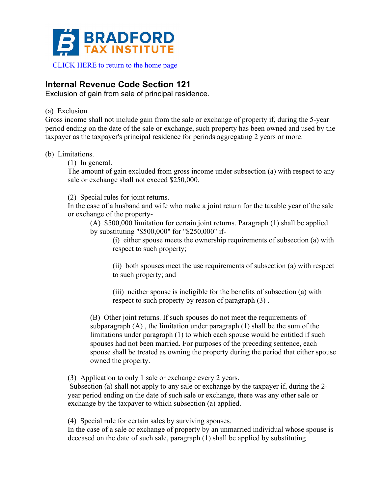

## **Internal Revenue Code Section 121**

Exclusion of gain from sale of principal residence.

(a) Exclusion.

Gross income shall not include gain from the sale or exchange of property if, during the 5-year period ending on the date of the sale or exchange, such property has been owned and used by the taxpayer as the taxpayer's principal residence for periods aggregating 2 years or more.

## (b) Limitations.

(1) In general.

The amount of gain excluded from gross income under subsection (a) with respect to any sale or exchange shall not exceed \$250,000.

(2) Special rules for joint returns.

In the case of a husband and wife who make a joint return for the taxable year of the sale or exchange of the property-

(A) \$500,000 limitation for certain joint returns. Paragraph (1) shall be applied by substituting "\$500,000" for "\$250,000" if-

(i) either spouse meets the ownership requirements of subsection (a) with respect to such property;

(ii) both spouses meet the use requirements of subsection (a) with respect to such property; and

(iii) neither spouse is ineligible for the benefits of subsection (a) with respect to such property by reason of paragraph (3) .

(B) Other joint returns. If such spouses do not meet the requirements of subparagraph  $(A)$ , the limitation under paragraph  $(1)$  shall be the sum of the limitations under paragraph (1) to which each spouse would be entitled if such spouses had not been married. For purposes of the preceding sentence, each spouse shall be treated as owning the property during the period that either spouse owned the property.

(3) Application to only 1 sale or exchange every 2 years.

Subsection (a) shall not apply to any sale or exchange by the taxpayer if, during the 2 year period ending on the date of such sale or exchange, there was any other sale or exchange by the taxpayer to which subsection (a) applied.

(4) Special rule for certain sales by surviving spouses.

In the case of a sale or exchange of property by an unmarried individual whose spouse is deceased on the date of such sale, paragraph (1) shall be applied by substituting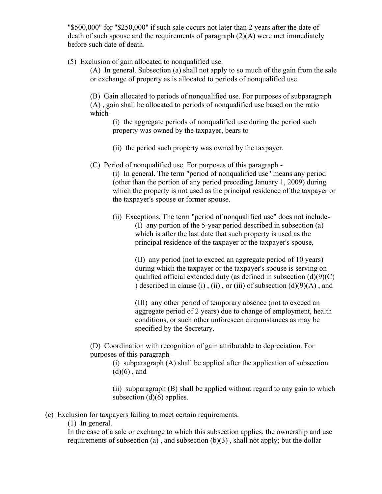"\$500,000" for "\$250,000" if such sale occurs not later than 2 years after the date of death of such spouse and the requirements of paragraph (2)(A) were met immediately before such date of death.

(5) Exclusion of gain allocated to nonqualified use.

(A) In general. Subsection (a) shall not apply to so much of the gain from the sale or exchange of property as is allocated to periods of nonqualified use.

(B) Gain allocated to periods of nonqualified use. For purposes of subparagraph (A) , gain shall be allocated to periods of nonqualified use based on the ratio which-

(i) the aggregate periods of nonqualified use during the period such property was owned by the taxpayer, bears to

- (ii) the period such property was owned by the taxpayer.
- (C) Period of nonqualified use. For purposes of this paragraph (i) In general. The term "period of nonqualified use" means any period (other than the portion of any period preceding January 1, 2009) during which the property is not used as the principal residence of the taxpayer or the taxpayer's spouse or former spouse.
	- (ii) Exceptions. The term "period of nonqualified use" does not include- (I) any portion of the 5-year period described in subsection (a) which is after the last date that such property is used as the principal residence of the taxpayer or the taxpayer's spouse,

(II) any period (not to exceed an aggregate period of 10 years) during which the taxpayer or the taxpayer's spouse is serving on qualified official extended duty (as defined in subsection  $(d)(9)(C)$ ) ) described in clause (i), (ii), or (iii) of subsection  $(d)(9)(A)$ , and

(III) any other period of temporary absence (not to exceed an aggregate period of 2 years) due to change of employment, health conditions, or such other unforeseen circumstances as may be specified by the Secretary.

(D) Coordination with recognition of gain attributable to depreciation. For purposes of this paragraph -

(i) subparagraph (A) shall be applied after the application of subsection  $(d)(6)$ , and

(ii) subparagraph (B) shall be applied without regard to any gain to which subsection  $(d)(6)$  applies.

(c) Exclusion for taxpayers failing to meet certain requirements.

(1) In general.

In the case of a sale or exchange to which this subsection applies, the ownership and use requirements of subsection (a), and subsection  $(b)(3)$ , shall not apply; but the dollar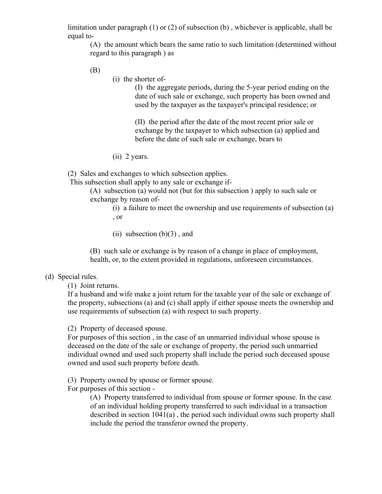limitation under paragraph (1) or (2) of subsection (b) , whichever is applicable, shall be equal to-

(A) the amount which bears the same ratio to such limitation (determined without regard to this paragraph ) as

(B)

(i) the shorter of-

(I) the aggregate periods, during the 5-year period ending on the date of such sale or exchange, such property has been owned and used by the taxpayer as the taxpayer's principal residence; or

(II) the period after the date of the most recent prior sale or exchange by the taxpayer to which subsection (a) applied and before the date of such sale or exchange, bears to

(ii) 2 years.

(2) Sales and exchanges to which subsection applies.

This subsection shall apply to any sale or exchange if-

(A) subsection (a) would not (but for this subsection ) apply to such sale or exchange by reason of-

(i) a failure to meet the ownership and use requirements of subsection (a) , or

(ii) subsection  $(b)(3)$ , and

(B) such sale or exchange is by reason of a change in place of employment, health, or, to the extent provided in regulations, unforeseen circumstances.

## (d) Special rules.

(1) Joint returns.

If a husband and wife make a joint return for the taxable year of the sale or exchange of the property, subsections (a) and (c) shall apply if either spouse meets the ownership and use requirements of subsection (a) with respect to such property.

(2) Property of deceased spouse.

For purposes of this section , in the case of an unmarried individual whose spouse is deceased on the date of the sale or exchange of property, the period such unmarried individual owned and used such property shall include the period such deceased spouse owned and used such property before death.

(3) Property owned by spouse or former spouse.

For purposes of this section -

(A) Property transferred to individual from spouse or former spouse. In the case of an individual holding property transferred to such individual in a transaction described in section 1041(a) , the period such individual owns such property shall include the period the transferor owned the property.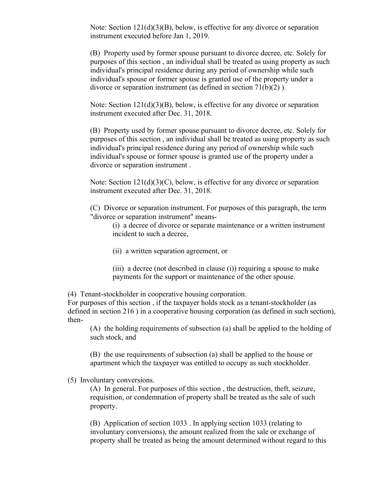Note: Section 121(d)(3)(B), below, is effective for any divorce or separation instrument executed before Jan 1, 2019.

(B) Property used by former spouse pursuant to divorce decree, etc. Solely for purposes of this section , an individual shall be treated as using property as such individual's principal residence during any period of ownership while such individual's spouse or former spouse is granted use of the property under a divorce or separation instrument (as defined in section 71(b)(2) ).

Note: Section 121(d)(3)(B), below, is effective for any divorce or separation instrument executed after Dec. 31, 2018.

(B) Property used by former spouse pursuant to divorce decree, etc. Solely for purposes of this section , an individual shall be treated as using property as such individual's principal residence during any period of ownership while such individual's spouse or former spouse is granted use of the property under a divorce or separation instrument .

Note: Section  $121(d)(3)(C)$ , below, is effective for any divorce or separation instrument executed after Dec. 31, 2018.

(C) Divorce or separation instrument. For purposes of this paragraph, the term "divorce or separation instrument" means-

(i) a decree of divorce or separate maintenance or a written instrument incident to such a decree,

(ii) a written separation agreement, or

(iii) a decree (not described in clause (i)) requiring a spouse to make payments for the support or maintenance of the other spouse.

(4) Tenant-stockholder in cooperative housing corporation.

For purposes of this section , if the taxpayer holds stock as a tenant-stockholder (as defined in section 216 ) in a cooperative housing corporation (as defined in such section), then-

(A) the holding requirements of subsection (a) shall be applied to the holding of such stock, and

(B) the use requirements of subsection (a) shall be applied to the house or apartment which the taxpayer was entitled to occupy as such stockholder.

(5) Involuntary conversions.

(A) In general. For purposes of this section , the destruction, theft, seizure, requisition, or condemnation of property shall be treated as the sale of such property.

(B) Application of section 1033 . In applying section 1033 (relating to involuntary conversions), the amount realized from the sale or exchange of property shall be treated as being the amount determined without regard to this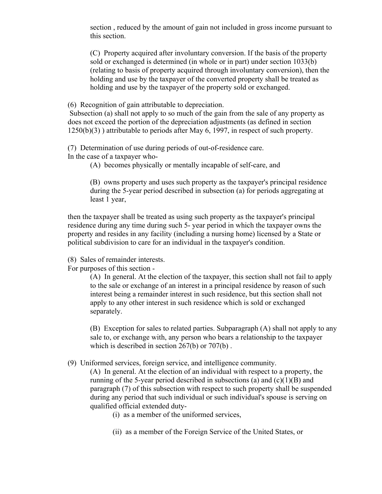section , reduced by the amount of gain not included in gross income pursuant to this section.

(C) Property acquired after involuntary conversion. If the basis of the property sold or exchanged is determined (in whole or in part) under section 1033(b) (relating to basis of property acquired through involuntary conversion), then the holding and use by the taxpayer of the converted property shall be treated as holding and use by the taxpayer of the property sold or exchanged.

(6) Recognition of gain attributable to depreciation.

Subsection (a) shall not apply to so much of the gain from the sale of any property as does not exceed the portion of the depreciation adjustments (as defined in section 1250(b)(3) ) attributable to periods after May 6, 1997, in respect of such property.

(7) Determination of use during periods of out-of-residence care. In the case of a taxpayer who-

(A) becomes physically or mentally incapable of self-care, and

(B) owns property and uses such property as the taxpayer's principal residence during the 5-year period described in subsection (a) for periods aggregating at least 1 year,

then the taxpayer shall be treated as using such property as the taxpayer's principal residence during any time during such 5- year period in which the taxpayer owns the property and resides in any facility (including a nursing home) licensed by a State or political subdivision to care for an individual in the taxpayer's condition.

(8) Sales of remainder interests.

For purposes of this section -

(A) In general. At the election of the taxpayer, this section shall not fail to apply to the sale or exchange of an interest in a principal residence by reason of such interest being a remainder interest in such residence, but this section shall not apply to any other interest in such residence which is sold or exchanged separately.

(B) Exception for sales to related parties. Subparagraph (A) shall not apply to any sale to, or exchange with, any person who bears a relationship to the taxpayer which is described in section 267(b) or 707(b).

(9) Uniformed services, foreign service, and intelligence community.

(A) In general. At the election of an individual with respect to a property, the running of the 5-year period described in subsections (a) and  $(c)(1)(B)$  and paragraph (7) of this subsection with respect to such property shall be suspended during any period that such individual or such individual's spouse is serving on qualified official extended duty-

(i) as a member of the uniformed services,

(ii) as a member of the Foreign Service of the United States, or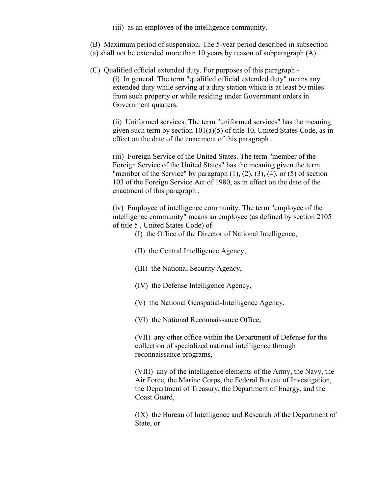(iii) as an employee of the intelligence community.

(B) Maximum period of suspension. The 5-year period described in subsection (a) shall not be extended more than 10 years by reason of subparagraph (A) .

(C) Qualified official extended duty. For purposes of this paragraph - (i) In general. The term "qualified official extended duty" means any extended duty while serving at a duty station which is at least 50 miles from such property or while residing under Government orders in Government quarters.

(ii) Uniformed services. The term "uniformed services" has the meaning given such term by section  $101(a)(5)$  of title 10, United States Code, as in effect on the date of the enactment of this paragraph .

(iii) Foreign Service of the United States. The term "member of the Foreign Service of the United States" has the meaning given the term "member of the Service" by paragraph  $(1)$ ,  $(2)$ ,  $(3)$ ,  $(4)$ , or  $(5)$  of section 103 of the Foreign Service Act of 1980, as in effect on the date of the enactment of this paragraph .

(iv) Employee of intelligence community. The term "employee of the intelligence community" means an employee (as defined by section 2105 of title 5 , United States Code) of-

(I) the Office of the Director of National Intelligence,

- (II) the Central Intelligence Agency,
- (III) the National Security Agency,
- (IV) the Defense Intelligence Agency,
- (V) the National Geospatial-Intelligence Agency,

(VI) the National Reconnaissance Office,

(VII) any other office within the Department of Defense for the collection of specialized national intelligence through reconnaissance programs,

(VIII) any of the intelligence elements of the Army, the Navy, the Air Force, the Marine Corps, the Federal Bureau of Investigation, the Department of Treasury, the Department of Energy, and the Coast Guard,

(IX) the Bureau of Intelligence and Research of the Department of State, or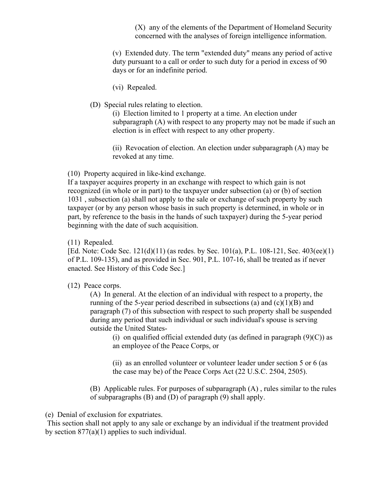(X) any of the elements of the Department of Homeland Security concerned with the analyses of foreign intelligence information.

(v) Extended duty. The term "extended duty" means any period of active duty pursuant to a call or order to such duty for a period in excess of 90 days or for an indefinite period.

- (vi) Repealed.
- (D) Special rules relating to election.

(i) Election limited to 1 property at a time. An election under subparagraph (A) with respect to any property may not be made if such an election is in effect with respect to any other property.

(ii) Revocation of election. An election under subparagraph (A) may be revoked at any time.

## (10) Property acquired in like-kind exchange.

If a taxpayer acquires property in an exchange with respect to which gain is not recognized (in whole or in part) to the taxpayer under subsection (a) or (b) of section 1031 , subsection (a) shall not apply to the sale or exchange of such property by such taxpayer (or by any person whose basis in such property is determined, in whole or in part, by reference to the basis in the hands of such taxpayer) during the 5-year period beginning with the date of such acquisition.

(11) Repealed.

[Ed. Note: Code Sec. 121(d)(11) (as redes. by Sec. 101(a), P.L. 108-121, Sec. 403(ee)(1) of P.L. 109-135), and as provided in Sec. 901, P.L. 107-16, shall be treated as if never enacted. See History of this Code Sec.]

(12) Peace corps.

(A) In general. At the election of an individual with respect to a property, the running of the 5-year period described in subsections (a) and  $(c)(1)(B)$  and paragraph (7) of this subsection with respect to such property shall be suspended during any period that such individual or such individual's spouse is serving outside the United States-

(i) on qualified official extended duty (as defined in paragraph  $(9)(C)$ ) as an employee of the Peace Corps, or

(ii) as an enrolled volunteer or volunteer leader under section 5 or 6 (as the case may be) of the Peace Corps Act (22 U.S.C. 2504, 2505).

(B) Applicable rules. For purposes of subparagraph (A) , rules similar to the rules of subparagraphs (B) and (D) of paragraph (9) shall apply.

(e) Denial of exclusion for expatriates.

This section shall not apply to any sale or exchange by an individual if the treatment provided by section  $877(a)(1)$  applies to such individual.